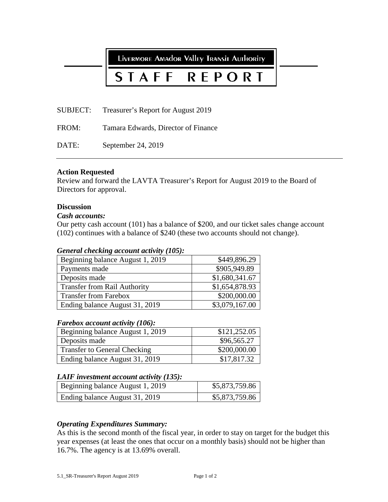LIVERMORE AMAdOR VAlley TRANSIT AUTHORITY

# **STAFF REPORT**

SUBJECT: Treasurer's Report for August 2019

FROM: Tamara Edwards, Director of Finance

DATE: September 24, 2019

# **Action Requested**

Review and forward the LAVTA Treasurer's Report for August 2019 to the Board of Directors for approval.

# **Discussion**

# *Cash accounts:*

Our petty cash account (101) has a balance of \$200, and our ticket sales change account (102) continues with a balance of \$240 (these two accounts should not change).

# *General checking account activity (105):*

| Beginning balance August 1, 2019    | \$449,896.29   |
|-------------------------------------|----------------|
| Payments made                       | \$905,949.89   |
| Deposits made                       | \$1,680,341.67 |
| <b>Transfer from Rail Authority</b> | \$1,654,878.93 |
| <b>Transfer from Farebox</b>        | \$200,000.00   |
| Ending balance August 31, 2019      | \$3,079,167.00 |

# *Farebox account activity (106):*

| Beginning balance August 1, 2019    | \$121,252.05 |
|-------------------------------------|--------------|
| Deposits made                       | \$96,565.27  |
| <b>Transfer to General Checking</b> | \$200,000.00 |
| Ending balance August 31, 2019      | \$17,817.32  |

# *LAIF investment account activity (135):*

| Beginning balance August 1, 2019 | \$5,873,759.86 |
|----------------------------------|----------------|
| Ending balance August 31, 2019   | \$5,873,759.86 |

# *Operating Expenditures Summary:*

As this is the second month of the fiscal year, in order to stay on target for the budget this year expenses (at least the ones that occur on a monthly basis) should not be higher than 16.7%. The agency is at 13.69% overall.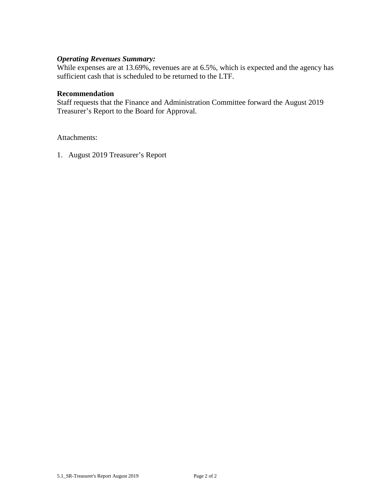# *Operating Revenues Summary:*

While expenses are at 13.69%, revenues are at 6.5%, which is expected and the agency has sufficient cash that is scheduled to be returned to the LTF.

# **Recommendation**

Staff requests that the Finance and Administration Committee forward the August 2019 Treasurer's Report to the Board for Approval.

Attachments:

1. August 2019 Treasurer's Report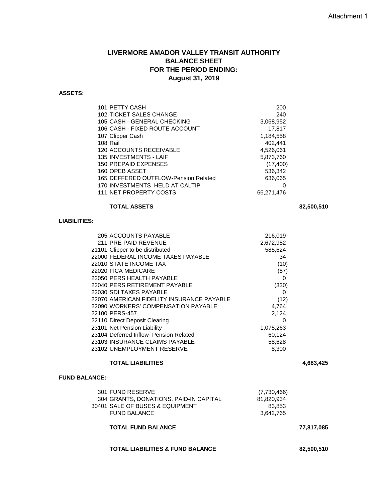# **LIVERMORE AMADOR VALLEY TRANSIT AUTHORITY BALANCE SHEET FOR THE PERIOD ENDING: August 31, 2019**

#### **ASSETS:**

| 101 PETTY CASH                       |               |
|--------------------------------------|---------------|
|                                      | 200           |
| 102 TICKET SALES CHANGE              | 240           |
| 105 CASH - GENERAL CHECKING          | 3,068,952     |
| 106 CASH - FIXED ROUTE ACCOUNT       | 17,817        |
| 107 Clipper Cash                     | 1,184,558     |
| 108 Rail                             | 402,441       |
| 120 ACCOUNTS RECEIVABLE              | 4,526,061     |
| <b>135 INVESTMENTS - LAIF</b>        | 5,873,760     |
| 150 PREPAID EXPENSES                 | (17, 400)     |
| 160 OPEB ASSET                       | 536,342       |
| 165 DEFFERED OUTFLOW-Pension Related | 636,065       |
| 170 INVESTMENTS HELD AT CALTIP       | $\mathcal{L}$ |
| 111 NET PROPERTY COSTS               | 66,271,476    |
|                                      |               |

#### **TOTAL ASSETS 82,500,510**

## **LIABILITIES:**

| 205 ACCOUNTS PAYABLE                      | 216,019   |
|-------------------------------------------|-----------|
| 211 PRE-PAID REVENUE                      | 2,672,952 |
| 21101 Clipper to be distributed           | 585,624   |
| 22000 FEDERAL INCOME TAXES PAYABLE        | 34        |
| 22010 STATE INCOME TAX                    | (10)      |
| 22020 FICA MEDICARE                       | (57)      |
| 22050 PERS HEALTH PAYABLE                 | 0         |
| 22040 PERS RETIREMENT PAYABLE             | (330)     |
| 22030 SDI TAXES PAYABLE                   | 0         |
| 22070 AMERICAN FIDELITY INSURANCE PAYABLE | (12)      |
| 22090 WORKERS' COMPENSATION PAYABLE       | 4,764     |
| 22100 PERS-457                            | 2,124     |
| 22110 Direct Deposit Clearing             | 0         |
| 23101 Net Pension Liability               | 1,075,263 |
| 23104 Deferred Inflow- Pension Related    | 60,124    |
| 23103 INSURANCE CLAIMS PAYABLE            | 58,628    |
| 23102 UNEMPLOYMENT RESERVE                | 8,300     |
|                                           |           |

#### **TOTAL LIABILITIES 4,683,425**

#### **FUND BALANCE:**

| 301 FUND RESERVE                       | (7,730,466) |
|----------------------------------------|-------------|
| 304 GRANTS, DONATIONS, PAID-IN CAPITAL | 81.820.934  |
| 30401 SALE OF BUSES & EQUIPMENT        | 83.853      |
| <b>FUND BALANCE</b>                    | 3.642.765   |
|                                        |             |

# **TOTAL FUND BALANCE 77,817,085**

### **TOTAL LIABILITIES & FUND BALANCE 82,500,510**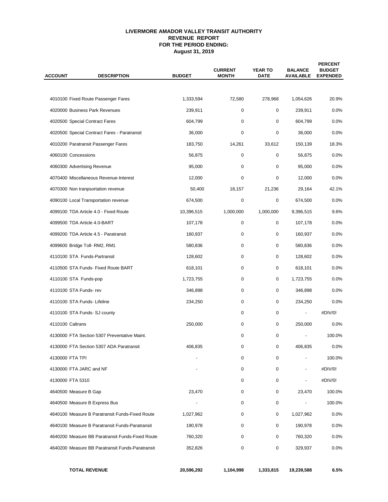#### **LIVERMORE AMADOR VALLEY TRANSIT AUTHORITY REVENUE REPORT FOR THE PERIOD ENDING: August 31, 2019**

| <b>ACCOUNT</b>   | <b>DESCRIPTION</b>                               | <b>BUDGET</b> | <b>CURRENT</b><br><b>MONTH</b> | <b>YEAR TO</b><br><b>DATE</b> | <b>BALANCE</b><br><b>AVAILABLE</b> | <b>PERCENT</b><br><b>BUDGET</b><br><b>EXPENDED</b> |  |
|------------------|--------------------------------------------------|---------------|--------------------------------|-------------------------------|------------------------------------|----------------------------------------------------|--|
|                  |                                                  |               |                                |                               |                                    |                                                    |  |
|                  | 4010100 Fixed Route Passenger Fares              | 1,333,594     | 72,580                         | 278,968                       | 1,054,626                          | 20.9%                                              |  |
|                  | 4020000 Business Park Revenues                   | 239,911       | 0                              | 0                             | 239,911                            | 0.0%                                               |  |
|                  | 4020500 Special Contract Fares                   | 604,799       | 0                              | 0                             | 604,799                            | 0.0%                                               |  |
|                  | 4020500 Special Contract Fares - Paratransit     | 36,000        | 0                              | 0                             | 36,000                             | 0.0%                                               |  |
|                  | 4010200 Paratransit Passenger Fares              | 183,750       | 14,261                         | 33,612                        | 150,139                            | 18.3%                                              |  |
|                  | 4060100 Concessions                              | 56,875        | 0                              | 0                             | 56,875                             | 0.0%                                               |  |
|                  | 4060300 Advertising Revenue                      | 95,000        | 0                              | 0                             | 95,000                             | 0.0%                                               |  |
|                  | 4070400 Miscellaneous Revenue-Interest           | 12,000        | 0                              | 0                             | 12,000                             | 0.0%                                               |  |
|                  | 4070300 Non tranpsortation revenue               | 50,400        | 18,157                         | 21,236                        | 29,164                             | 42.1%                                              |  |
|                  | 4090100 Local Transportation revenue             | 674,500       | 0                              | 0                             | 674,500                            | 0.0%                                               |  |
|                  | 4099100 TDA Article 4.0 - Fixed Route            | 10,396,515    | 1,000,000                      | 1,000,000                     | 9,396,515                          | 9.6%                                               |  |
|                  | 4099500 TDA Article 4.0-BART                     | 107,178       | 0                              | 0                             | 107,178                            | $0.0\%$                                            |  |
|                  | 4099200 TDA Article 4.5 - Paratransit            | 160,937       | 0                              | 0                             | 160,937                            | 0.0%                                               |  |
|                  | 4099600 Bridge Toll- RM2, RM1                    | 580,836       | 0                              | 0                             | 580,836                            | $0.0\%$                                            |  |
|                  | 4110100 STA Funds-Partransit                     | 128,602       | 0                              | 0                             | 128,602                            | 0.0%                                               |  |
|                  | 4110500 STA Funds- Fixed Route BART              | 618,101       | 0                              | 0                             | 618,101                            | 0.0%                                               |  |
|                  | 4110100 STA Funds-pop                            | 1,723,755     | 0                              | 0                             | 1,723,755                          | 0.0%                                               |  |
|                  | 4110100 STA Funds-rev                            | 346,898       | 0                              | 0                             | 346,898                            | 0.0%                                               |  |
|                  | 4110100 STA Funds- Lifeline                      | 234,250       | 0                              | 0                             | 234,250                            | 0.0%                                               |  |
|                  | 4110100 STA Funds- SJ county                     |               | 0                              | 0                             | $\overline{\phantom{a}}$           | #DIV/0!                                            |  |
| 4110100 Caltrans |                                                  | 250,000       | 0                              | 0                             | 250,000                            | 0.0%                                               |  |
|                  | 4130000 FTA Section 5307 Preventative Maint.     |               | $\mathbf 0$                    | 0                             |                                    | 100.0%                                             |  |
|                  | 4130000 FTA Section 5307 ADA Paratransit         | 406,835       | 0                              | 0                             | 406,835                            | 0.0%                                               |  |
|                  | 4130000 FTA TPI                                  |               | 0                              | 0                             |                                    | 100.0%                                             |  |
|                  | 4130000 FTA JARC and NF                          |               | 0                              | 0                             | $\overline{\phantom{a}}$           | #DIV/0!                                            |  |
|                  | 4130000 FTA 5310                                 |               | 0                              | 0                             |                                    | #DIV/0!                                            |  |
|                  | 4640500 Measure B Gap                            | 23,470        | 0                              | 0                             | 23,470                             | 100.0%                                             |  |
|                  | 4640500 Measure B Express Bus                    |               | 0                              | 0                             |                                    | 100.0%                                             |  |
|                  | 4640100 Measure B Paratransit Funds-Fixed Route  | 1,027,962     | 0                              | 0                             | 1,027,962                          | 0.0%                                               |  |
|                  | 4640100 Measure B Paratransit Funds-Paratransit  | 190,978       | 0                              | 0                             | 190,978                            | 0.0%                                               |  |
|                  | 4640200 Measure BB Paratransit Funds-Fixed Route | 760,320       | 0                              | 0                             | 760,320                            | 0.0%                                               |  |
|                  | 4640200 Measure BB Paratransit Funds-Paratransit | 352,826       | 0                              | 0                             | 329,937                            | 0.0%                                               |  |
|                  | <b>TOTAL REVENUE</b>                             | 20,596,292    | 1,104,998                      | 1,333,815                     | 19,239,588                         | 6.5%                                               |  |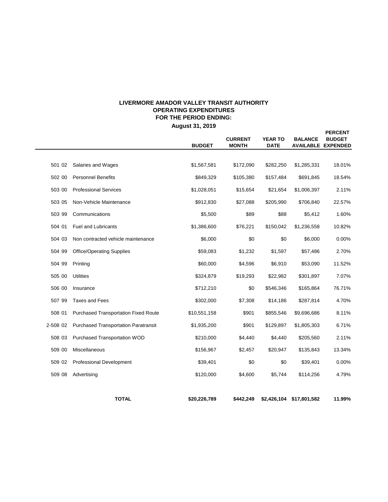# **LIVERMORE AMADOR VALLEY TRANSIT AUTHORITY OPERATING EXPENDITURES FOR THE PERIOD ENDING:**

**August 31, 2019**

**PERCENT**

|          |                                             | <b>BUDGET</b> | <b>CURRENT</b><br><b>MONTH</b> | <b>YEAR TO</b><br><b>DATE</b> | <b>BALANCE</b>           | <b>BUDGET</b><br><b>AVAILABLE EXPENDED</b> |
|----------|---------------------------------------------|---------------|--------------------------------|-------------------------------|--------------------------|--------------------------------------------|
|          |                                             |               |                                |                               |                          |                                            |
| 501 02   | Salaries and Wages                          | \$1,567,581   | \$172,090                      | \$282,250                     | \$1,285,331              | 18.01%                                     |
| 502 00   | <b>Personnel Benefits</b>                   | \$849,329     | \$105,380                      | \$157,484                     | \$691,845                | 18.54%                                     |
| 503 00   | <b>Professional Services</b>                | \$1,028,051   | \$15,654                       | \$21,654                      | \$1,006,397              | 2.11%                                      |
| 503 05   | Non-Vehicle Maintenance                     | \$912,830     | \$27,088                       | \$205,990                     | \$706,840                | 22.57%                                     |
| 503 99   | Communications                              | \$5,500       | \$89                           | \$88                          | \$5,412                  | 1.60%                                      |
| 504 01   | <b>Fuel and Lubricants</b>                  | \$1,386,600   | \$76,221                       | \$150,042                     | \$1,236,558              | 10.82%                                     |
| 504 03   | Non contracted vehicle maintenance          | \$6,000       | \$0                            | \$0                           | \$6,000                  | 0.00%                                      |
| 504 99   | <b>Office/Operating Supplies</b>            | \$59,083      | \$1,232                        | \$1,597                       | \$57,486                 | 2.70%                                      |
| 504 99   | Printing                                    | \$60,000      | \$4,596                        | \$6,910                       | \$53,090                 | 11.52%                                     |
| 505 00   | <b>Utilities</b>                            | \$324,879     | \$19,293                       | \$22,982                      | \$301,897                | 7.07%                                      |
| 506 00   | Insurance                                   | \$712,210     | \$0                            | \$546,346                     | \$165,864                | 76.71%                                     |
| 507 99   | <b>Taxes and Fees</b>                       | \$302,000     | \$7,308                        | \$14,186                      | \$287,814                | 4.70%                                      |
| 508 01   | <b>Purchased Transportation Fixed Route</b> | \$10,551,158  | \$901                          | \$855,546                     | \$9,696,686              | 8.11%                                      |
| 2-508 02 | <b>Purchased Transportation Paratransit</b> | \$1,935,200   | \$901                          | \$129,897                     | \$1,805,303              | 6.71%                                      |
| 508 03   | Purchased Transportation WOD                | \$210,000     | \$4,440                        | \$4,440                       | \$205,560                | 2.11%                                      |
| 509 00   | Miscellaneous                               | \$156,967     | \$2,457                        | \$20,947                      | \$135,843                | 13.34%                                     |
| 509 02   | <b>Professional Development</b>             | \$39,401      | \$0                            | \$0                           | \$39,401                 | 0.00%                                      |
| 509 08   | Advertising                                 | \$120,000     | \$4,600                        | \$5,744                       | \$114,256                | 4.79%                                      |
|          | <b>TOTAL</b>                                | \$20,226,789  | \$442,249                      |                               | \$2,426,104 \$17,801,582 | 11.99%                                     |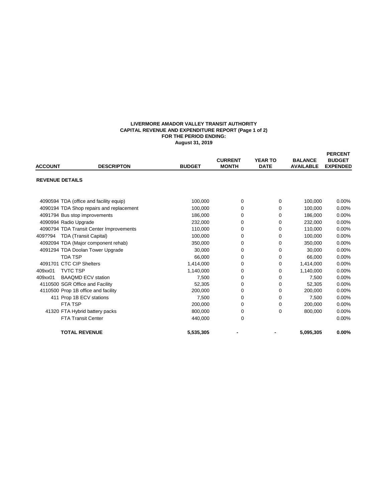#### **LIVERMORE AMADOR VALLEY TRANSIT AUTHORITY CAPITAL REVENUE AND EXPENDITURE REPORT (Page 1 of 2) FOR THE PERIOD ENDING: August 31, 2019**

|                        |                                          |               |                |                |                  | <b>PERCENT</b>  |
|------------------------|------------------------------------------|---------------|----------------|----------------|------------------|-----------------|
|                        |                                          |               | <b>CURRENT</b> | <b>YEAR TO</b> | <b>BALANCE</b>   | <b>BUDGET</b>   |
| <b>ACCOUNT</b>         | <b>DESCRIPTON</b>                        | <b>BUDGET</b> | <b>MONTH</b>   | <b>DATE</b>    | <b>AVAILABLE</b> | <b>EXPENDED</b> |
| <b>REVENUE DETAILS</b> |                                          |               |                |                |                  |                 |
|                        |                                          |               |                |                |                  |                 |
|                        |                                          |               |                |                |                  |                 |
|                        | 4090594 TDA (office and facility equip)  | 100,000       | 0              | 0              | 100,000          | $0.00\%$        |
|                        | 4090194 TDA Shop repairs and replacement | 100.000       | 0              | 0              | 100,000          | 0.00%           |
|                        | 4091794 Bus stop improvements            | 186,000       | 0              | 0              | 186,000          | 0.00%           |
|                        | 4090994 Radio Upgrade                    | 232,000       | 0              | 0              | 232,000          | 0.00%           |
|                        | 4090794 TDA Transit Center Improvements  | 110.000       | 0              | 0              | 110.000          | 0.00%           |
| 409??94                | <b>TDA (Transit Capital)</b>             | 100,000       | 0              | $\Omega$       | 100,000          | 0.00%           |
|                        | 4092094 TDA (Major component rehab)      | 350,000       | 0              | 0              | 350,000          | 0.00%           |
|                        | 4091294 TDA Doolan Tower Upgrade         | 30.000        | 0              | 0              | 30.000           | 0.00%           |
|                        | <b>TDA TSP</b>                           | 66,000        | 0              | $\Omega$       | 66,000           | 0.00%           |
|                        | 4091701 CTC CIP Shelters                 | 1,414,000     | 0              | 0              | 1,414,000        | 0.00%           |
| 409xx01                | <b>TVTC TSP</b>                          | 1,140,000     | 0              | $\Omega$       | 1,140,000        | 0.00%           |
| 409xx01                | <b>BAAQMD ECV station</b>                | 7.500         | 0              | 0              | 7,500            | 0.00%           |
|                        | 4110500 SGR Office and Facility          | 52,305        | 0              | 0              | 52,305           | 0.00%           |
|                        | 4110500 Prop 1B office and facility      | 200,000       | 0              | $\mathbf 0$    | 200,000          | 0.00%           |
|                        | 411 Prop 1B ECV stations                 | 7,500         | $\Omega$       | $\Omega$       | 7,500            | 0.00%           |
|                        | <b>FTA TSP</b>                           | 200,000       | 0              | $\mathbf 0$    | 200,000          | 0.00%           |
|                        | 41320 FTA Hybrid battery packs           | 800,000       | 0              | $\Omega$       | 800,000          | 0.00%           |
|                        | <b>FTA Transit Center</b>                | 440.000       | 0              |                |                  | 0.00%           |
|                        | <b>TOTAL REVENUE</b>                     | 5,535,305     |                |                | 5,095,305        | $0.00\%$        |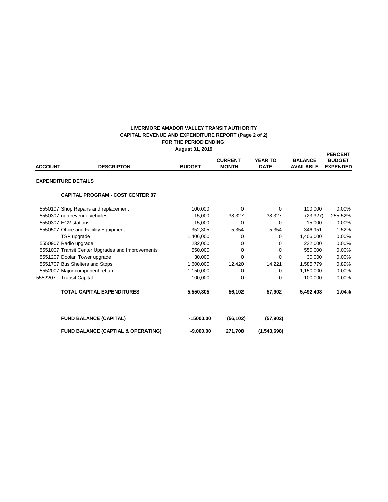#### **FOR THE PERIOD ENDING: August 31, 2019 LIVERMORE AMADOR VALLEY TRANSIT AUTHORITY CAPITAL REVENUE AND EXPENDITURE REPORT (Page 2 of 2)**

| <b>ACCOUNT</b>             | <b>DESCRIPTON</b>                                | <b>BUDGET</b> | <b>CURRENT</b><br><b>MONTH</b> | <b>YEAR TO</b><br><b>DATE</b> | <b>BALANCE</b><br><b>AVAILABLE</b> | <b>PERCENT</b><br><b>BUDGET</b><br><b>EXPENDED</b> |
|----------------------------|--------------------------------------------------|---------------|--------------------------------|-------------------------------|------------------------------------|----------------------------------------------------|
| <b>EXPENDITURE DETAILS</b> |                                                  |               |                                |                               |                                    |                                                    |
|                            | <b>CAPITAL PROGRAM - COST CENTER 07</b>          |               |                                |                               |                                    |                                                    |
|                            | 5550107 Shop Repairs and replacement             | 100,000       | $\Omega$                       | 0                             | 100,000                            | $0.00\%$                                           |
|                            | 5550307 non revenue vehicles                     | 15,000        | 38,327                         | 38,327                        | (23, 327)                          | 255.52%                                            |
|                            | 5550307 ECV stations                             | 15,000        | $\Omega$                       | $\Omega$                      | 15,000                             | 0.00%                                              |
|                            | 5550507 Office and Facility Equipment            | 352,305       | 5,354                          | 5,354                         | 346,951                            | 1.52%                                              |
|                            | TSP upgrade                                      | 1,406,000     | 0                              | 0                             | 1,406,000                          | 0.00%                                              |
|                            | 5550907 Radio upgrade                            | 232,000       | 0                              | 0                             | 232,000                            | 0.00%                                              |
|                            | 5551007 Transit Center Upgrades and Improvements | 550,000       | $\Omega$                       | $\Omega$                      | 550,000                            | 0.00%                                              |
|                            | 5551207 Doolan Tower upgrade                     | 30,000        | 0                              | $\Omega$                      | 30,000                             | 0.00%                                              |
|                            | 5551707 Bus Shelters and Stops                   | 1,600,000     | 12,420                         | 14,221                        | 1,585,779                          | 0.89%                                              |
|                            | 5552007 Major component rehab                    | 1,150,000     | 0                              | $\Omega$                      | 1,150,000                          | 0.00%                                              |
| 555??07                    | <b>Transit Capital</b>                           | 100,000       | 0                              | 0                             | 100,000                            | 0.00%                                              |
|                            | <b>TOTAL CAPITAL EXPENDITURES</b>                | 5,550,305     | 56,102                         | 57,902                        | 5,492,403                          | 1.04%                                              |
|                            | <b>FUND BALANCE (CAPITAL)</b>                    | $-15000.00$   | (56, 102)                      | (57, 902)                     |                                    |                                                    |
|                            | <b>FUND BALANCE (CAPTIAL &amp; OPERATING)</b>    | $-9,000.00$   | 271,708                        | (1,543,698)                   |                                    |                                                    |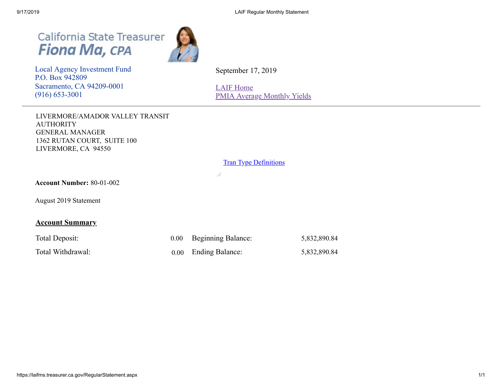California State Treasurer<br>Fiona Ma, CPA



 Local Agency Investment Fund P.O. Box 942809 Sacramento, CA 94209-0001 (916) 653-3001

September 17, 2019

[LAIF Home](https://www.treasurer.ca.gov/pmia-laif/laif/index.asp) [PMIA Average Monthly Yields](http://www.treasurer.ca.gov/pmia-laif/historical/avg_mn_ylds.asp)

LIVERMORE/AMADOR VALLEY TRANSIT AUTHORITY GENERAL MANAGER 1362 RUTAN COURT, SUITE 100 LIVERMORE, CA 94550

# **Tran Type [Definitions](https://laifms.treasurer.ca.gov/Transaction%20Types%20Regular.htm)**

 $\frac{1}{2}$ 

**Account Number:** 80-01-002

August 2019 Statement

# **Account Summary**

| Total Deposit:    | 0.00 Beginning Balance: | 5,832,890.84 |
|-------------------|-------------------------|--------------|
| Total Withdrawal: | 0.00 Ending Balance:    | 5,832,890.84 |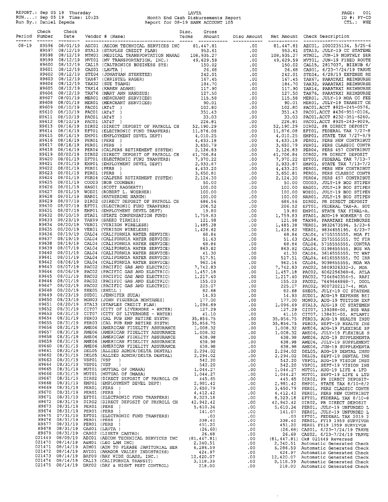REPORT.: Sep 05 19 Thursday<br>RUN....: Sep 05 19 Time: 10:25<br>Run By.: Daniel Zepeda

# LAVTA<br>Month End Cash Disbursements Report<br>Report for 08-19 BANK ACCOUNT 105

PAGE: 001<br>ID #: PY-CD<br>CTL.: WHE

 $\hat{\mathcal{A}}$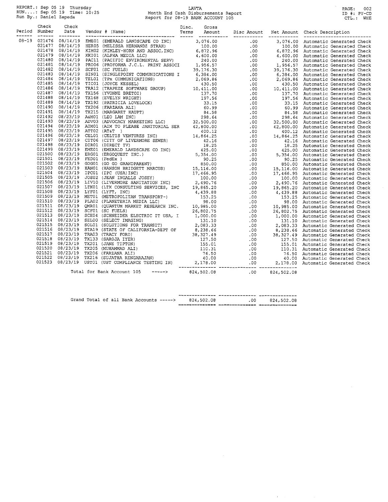REPORT.: Sep 05 19 Thursday<br>RUN....: Sep 05 19 Time: 10:25<br>Run By.: Daniel Zepeda

# LAVTA<br>Month End Cash Disbursements Report<br>Report for 08-19 BANK ACCOUNT 105

PAGE: 002<br>ID #: PY-CD<br>CTL.: WHE

|  |  | $\begin{small} \textbf{N}=120 & \textbf{N} & \textbf{N} & \textbf{N} & \textbf{N} & \textbf{N} & \textbf{N} & \textbf{N} & \textbf{N} & \textbf{N} & \textbf{N} & \textbf{N} & \textbf{N} & \textbf{N} & \textbf{N} & \textbf{N} & \textbf{N} & \textbf{N} & \textbf{N} & \textbf{N} & \textbf{N} & \textbf{N} & \textbf{N} & \textbf{N} & \textbf{N} & \textbf{N} & \textbf{N} & \textbf{N} & \textbf{N} & \textbf{N} & \text$ |  |  |  |  |
|--|--|---------------------------------------------------------------------------------------------------------------------------------------------------------------------------------------------------------------------------------------------------------------------------------------------------------------------------------------------------------------------------------------------------------------------------------|--|--|--|--|
|  |  |                                                                                                                                                                                                                                                                                                                                                                                                                                 |  |  |  |  |
|  |  |                                                                                                                                                                                                                                                                                                                                                                                                                                 |  |  |  |  |
|  |  |                                                                                                                                                                                                                                                                                                                                                                                                                                 |  |  |  |  |
|  |  |                                                                                                                                                                                                                                                                                                                                                                                                                                 |  |  |  |  |
|  |  |                                                                                                                                                                                                                                                                                                                                                                                                                                 |  |  |  |  |
|  |  |                                                                                                                                                                                                                                                                                                                                                                                                                                 |  |  |  |  |
|  |  |                                                                                                                                                                                                                                                                                                                                                                                                                                 |  |  |  |  |
|  |  |                                                                                                                                                                                                                                                                                                                                                                                                                                 |  |  |  |  |
|  |  |                                                                                                                                                                                                                                                                                                                                                                                                                                 |  |  |  |  |
|  |  |                                                                                                                                                                                                                                                                                                                                                                                                                                 |  |  |  |  |
|  |  |                                                                                                                                                                                                                                                                                                                                                                                                                                 |  |  |  |  |
|  |  |                                                                                                                                                                                                                                                                                                                                                                                                                                 |  |  |  |  |
|  |  |                                                                                                                                                                                                                                                                                                                                                                                                                                 |  |  |  |  |
|  |  |                                                                                                                                                                                                                                                                                                                                                                                                                                 |  |  |  |  |
|  |  |                                                                                                                                                                                                                                                                                                                                                                                                                                 |  |  |  |  |
|  |  |                                                                                                                                                                                                                                                                                                                                                                                                                                 |  |  |  |  |
|  |  |                                                                                                                                                                                                                                                                                                                                                                                                                                 |  |  |  |  |
|  |  |                                                                                                                                                                                                                                                                                                                                                                                                                                 |  |  |  |  |
|  |  |                                                                                                                                                                                                                                                                                                                                                                                                                                 |  |  |  |  |
|  |  |                                                                                                                                                                                                                                                                                                                                                                                                                                 |  |  |  |  |
|  |  |                                                                                                                                                                                                                                                                                                                                                                                                                                 |  |  |  |  |
|  |  |                                                                                                                                                                                                                                                                                                                                                                                                                                 |  |  |  |  |
|  |  |                                                                                                                                                                                                                                                                                                                                                                                                                                 |  |  |  |  |
|  |  |                                                                                                                                                                                                                                                                                                                                                                                                                                 |  |  |  |  |
|  |  |                                                                                                                                                                                                                                                                                                                                                                                                                                 |  |  |  |  |
|  |  |                                                                                                                                                                                                                                                                                                                                                                                                                                 |  |  |  |  |
|  |  |                                                                                                                                                                                                                                                                                                                                                                                                                                 |  |  |  |  |
|  |  |                                                                                                                                                                                                                                                                                                                                                                                                                                 |  |  |  |  |
|  |  |                                                                                                                                                                                                                                                                                                                                                                                                                                 |  |  |  |  |
|  |  |                                                                                                                                                                                                                                                                                                                                                                                                                                 |  |  |  |  |
|  |  |                                                                                                                                                                                                                                                                                                                                                                                                                                 |  |  |  |  |
|  |  |                                                                                                                                                                                                                                                                                                                                                                                                                                 |  |  |  |  |
|  |  |                                                                                                                                                                                                                                                                                                                                                                                                                                 |  |  |  |  |
|  |  |                                                                                                                                                                                                                                                                                                                                                                                                                                 |  |  |  |  |
|  |  |                                                                                                                                                                                                                                                                                                                                                                                                                                 |  |  |  |  |
|  |  |                                                                                                                                                                                                                                                                                                                                                                                                                                 |  |  |  |  |
|  |  |                                                                                                                                                                                                                                                                                                                                                                                                                                 |  |  |  |  |
|  |  |                                                                                                                                                                                                                                                                                                                                                                                                                                 |  |  |  |  |
|  |  |                                                                                                                                                                                                                                                                                                                                                                                                                                 |  |  |  |  |
|  |  |                                                                                                                                                                                                                                                                                                                                                                                                                                 |  |  |  |  |
|  |  |                                                                                                                                                                                                                                                                                                                                                                                                                                 |  |  |  |  |
|  |  |                                                                                                                                                                                                                                                                                                                                                                                                                                 |  |  |  |  |
|  |  |                                                                                                                                                                                                                                                                                                                                                                                                                                 |  |  |  |  |
|  |  |                                                                                                                                                                                                                                                                                                                                                                                                                                 |  |  |  |  |
|  |  |                                                                                                                                                                                                                                                                                                                                                                                                                                 |  |  |  |  |
|  |  |                                                                                                                                                                                                                                                                                                                                                                                                                                 |  |  |  |  |
|  |  |                                                                                                                                                                                                                                                                                                                                                                                                                                 |  |  |  |  |
|  |  |                                                                                                                                                                                                                                                                                                                                                                                                                                 |  |  |  |  |
|  |  |                                                                                                                                                                                                                                                                                                                                                                                                                                 |  |  |  |  |

|  |  |                                         | ---------------- | -------------- | ---------------- |
|--|--|-----------------------------------------|------------------|----------------|------------------|
|  |  | Grand Total of all Bank Accounts -----> | 824,502.08       | .00            | 824,502.08       |
|  |  |                                         |                  |                |                  |

 $\mathcal{A}(\mathbf{r})$  , we have  $\mathcal{A}(\mathbf{r})$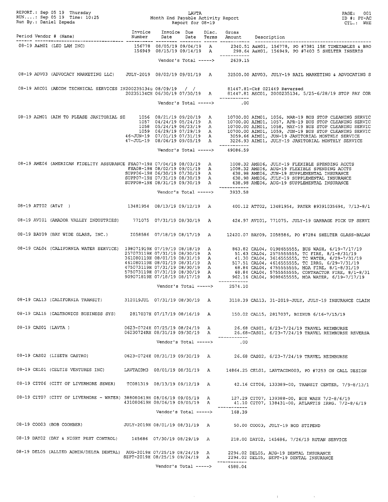|                                                                      |                                                                  |                       |          |                                                | PAGE: 001<br>ID #: PY-AC<br>CTL.: WHE                                                                                                                                                                                                                                                                                                                                  |
|----------------------------------------------------------------------|------------------------------------------------------------------|-----------------------|----------|------------------------------------------------|------------------------------------------------------------------------------------------------------------------------------------------------------------------------------------------------------------------------------------------------------------------------------------------------------------------------------------------------------------------------|
|                                                                      |                                                                  |                       |          |                                                |                                                                                                                                                                                                                                                                                                                                                                        |
|                                                                      |                                                                  |                       |          | ------------                                   | 08-19 A&MO1 (LEO LAM INC) (DRICH States of 156778 08/05/19 09/04/19 A 2340.51 A&MO1, 156778, PO #7381 15K TIMETABLES & BRO<br>156949 08/15/19 09/14/19 A 298.64 A&MO1, 156949, PO #7403 5 SHELTER INSERTS                                                                                                                                                              |
|                                                                      |                                                                  |                       |          | Vendor's Total -----> 2639.15                  |                                                                                                                                                                                                                                                                                                                                                                        |
|                                                                      |                                                                  |                       |          |                                                | 08-19 ADV03 (ADVOCACY MARKETING LLC) JULY-2019 08/02/19 09/01/19 A 32500.00 ADV03, JULY-19 RAIL MARKETING & ADVOCATING S                                                                                                                                                                                                                                               |
|                                                                      |                                                                  |                       |          |                                                | 08-19 AECO1 (AECOM TECHNICAL SERVICES IN200235134u 08/09/19 / / 81447.81-Ck# 021449 Reversed<br>20235134CH 06/30/19 07/30/19 A 81447.81 AECO1, 2000235134, 5/25-6/28/19 STOP PAY COR<br>-----------                                                                                                                                                                    |
|                                                                      |                                                                  |                       |          | Vendor's Total -----> .00                      |                                                                                                                                                                                                                                                                                                                                                                        |
|                                                                      |                                                                  |                       |          |                                                | 08-19 AIMO1 (AIM TO PLEASE JANITORIAL SE $1056$ 08/21/19 09/20/19 A 10700.00 AIMO1, 1056, MAR-19 BUS STOP CLEANING SERVIC<br>1057 04/24/19 05/24/19 10724119 A 10700.00 AIMO1, 1057, APR-19 BUS STOP CLEANING SERVIC<br>1058 05/24/                                                                                                                                    |
|                                                                      |                                                                  |                       |          | ------------<br>Vendor's Total -----> 49086.59 |                                                                                                                                                                                                                                                                                                                                                                        |
|                                                                      |                                                                  |                       |          |                                                | 08-19 AME06 (AMERICAN FIDELITY ASSURANCE FSA07-19H 07/04/19 08/03/19 A 1008.32 AME06, JULY-19 FLEXIBLE SPENDING ACCTS<br>FSA08-19H 08/02/19 09/01/19 A 1008.32 AME06, AUG-19 FLEXIBLE SPENDING ACCTS<br>SUPP06-19H 07/30/19 OF A 6                                                                                                                                     |
|                                                                      |                                                                  |                       |          | Vendor's Total -----> 3933.58                  |                                                                                                                                                                                                                                                                                                                                                                        |
|                                                                      |                                                                  |                       |          |                                                | 08-19 ATT02 (AT&T) 313481954 08/13/19 09/12/19 A 400.12 ATT02, 13481954, PAYER #9391035694, 7/13-8/1                                                                                                                                                                                                                                                                   |
|                                                                      |                                                                  |                       |          |                                                | 08-19 AVI01 (AMADOR VALLEY INDUSTRIES) 771075 07/31/19 08/30/19 A 424.97 AVI01, 771075, JULY-19 GARBAGE PICK UP SERVI                                                                                                                                                                                                                                                  |
|                                                                      |                                                                  |                       |          |                                                | 08-19 BAY09 (BAY WIDE GLASS, INC.) 1058586 07/18/19 08/17/19 A 12420.07 BAY09, I058586, PO #7284 SHELTER GLASS-BALAN                                                                                                                                                                                                                                                   |
|                                                                      |                                                                  |                       |          | ____________                                   | 08-19 CALO4 (CALIFORNIA WATER SERVICE) 198071919H 07/19/19 08/18/19 A 863.82 CAL04, 0198655555, BUS WASH, 6/19-7/17/19<br>2570731198 07/31/19 08/30/19<br>3610801198 08/31/19 08/31/19<br>3610801198 08/31/19 08/31/19 A<br>4610801198 08/31/19 08/31/19 A<br>4750731198 08/31/19 08/31/19 A<br>4750731198 07/31/19 08/31/19 A<br>4750731198 07/31/19 08/30/19 A<br>47 |
|                                                                      |                                                                  |                       |          | Vendor's Total -----> 2574.10                  |                                                                                                                                                                                                                                                                                                                                                                        |
| 08-19 CAL13 (CALIFORNIA TRANSIT)                                     | 312019JUL 07/31/19 08/30/19 A                                    |                       |          |                                                | 3118.39 CAL13, 31-2019-JULY, JULY-19 INSURANCE CLAIM                                                                                                                                                                                                                                                                                                                   |
| 08-19 CAL15 (CALTRONICS BUSINESS SYS)                                | 2817037H 07/17/19 08/16/19 A                                     |                       |          |                                                | 150.02 CAL15, 2817037, BIZHUB 6/16-7/15/19                                                                                                                                                                                                                                                                                                                             |
| 08-19 CAS01 (LAVTA)                                                  | 0623-0724H 07/25/19 08/24/19 A<br>06230724RH 08/31/19 09/30/19 A |                       |          | ------------                                   | 26.68 CAS01, 6/23-7/24/19 TRAVEL REIMBURSE<br>26.68-CAS01, 6/23-7/24/19 TRAVEL REIMBURSE REVERSA                                                                                                                                                                                                                                                                       |
|                                                                      |                                                                  | Vendor's Total -----> |          | .00                                            |                                                                                                                                                                                                                                                                                                                                                                        |
| 08-19 CAS02 (LISETH CASTRO)                                          | 0623-0724H 08/31/19 09/30/19 A                                   |                       |          |                                                | 26.68 CAS02, 6/23-7/24/19 TRAVEL REIMBURSE                                                                                                                                                                                                                                                                                                                             |
| 08-19 CEL01 (CELTIS VENTURES INC)                                    | LAVTACDM3 08/01/19 08/31/19 A                                    |                       |          |                                                | 14864.25 CEL01, LAVTACDM003, PO #7253 ON CALL DESIGN                                                                                                                                                                                                                                                                                                                   |
| 08-19 CIT06 (CITY OF LIVERMORE SEWER)                                | TC081319 08/13/19 09/12/19 A                                     |                       |          |                                                | 42.16 CIT06, 133389-00, TRANSIT CENTER, 7/9-8/13/1                                                                                                                                                                                                                                                                                                                     |
| 08-19 CIT07 (CITY OF LIVERMORE - WATER) 388080619H 08/06/19 09/05/19 | 431080619H 08/06/19 09/05/19 A                                   |                       | <b>A</b> |                                                | 127.29 CIT07, 139388-00, BUS WASH 7/2-8/6/19<br>41.10 CIT07, 138431-00, ATLANTIS IRRG. 7/2-8/6/19                                                                                                                                                                                                                                                                      |
|                                                                      |                                                                  | Vendor's Total -----> |          | 168.39                                         |                                                                                                                                                                                                                                                                                                                                                                        |
| 08-19 COO03 (BOB COOMBER)                                            | JULY-2019H 08/01/19 08/31/19 A                                   |                       |          |                                                | 50.00 COO03, JULY-19 BOD STIPEND                                                                                                                                                                                                                                                                                                                                       |
| 08-19 DAY02 (DAY & NIGHT PEST CONTROL)                               | 145686 07/30/19 08/29/19 A                                       |                       |          |                                                | 218.00 DAY02, 145686, 7/26/19 RUTAN SERVICE                                                                                                                                                                                                                                                                                                                            |
| 08-19 DEL05 (ALLIED ADMIN/DELTA DENTAL) AUG-2019H 07/25/19 08/24/19  | SEPT-2019H 08/25/19 09/24/19 A                                   |                       | A        |                                                | 2294.02 DEL05, AUG-19 DENTAL INSURANCE<br>2294.02 DEL05, SEPT-19 DENTAL INSURANCE                                                                                                                                                                                                                                                                                      |
|                                                                      |                                                                  | Vendor's Total -----> |          | 4588.04                                        |                                                                                                                                                                                                                                                                                                                                                                        |

 $\mathcal{O}(\mathcal{O}(n^2))$  . The contract of the contract of the contract of the contract of  $\mathcal{O}(\mathcal{O}(n^2))$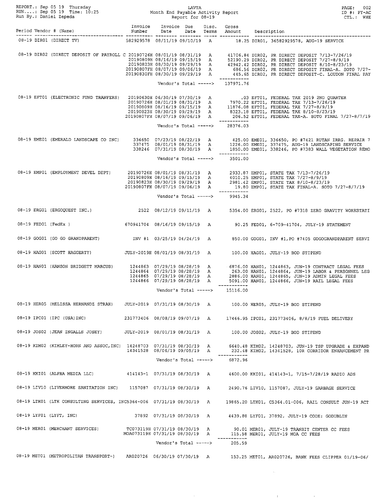|                         |                                                                                               |                                                               |                           |                       |   |                                 | PAGE: 002<br>$ID$ #: $PY-AC$<br>CTL.: WHE                                                                                                                                                                                                  |
|-------------------------|-----------------------------------------------------------------------------------------------|---------------------------------------------------------------|---------------------------|-----------------------|---|---------------------------------|--------------------------------------------------------------------------------------------------------------------------------------------------------------------------------------------------------------------------------------------|
|                         |                                                                                               |                                                               |                           |                       |   |                                 |                                                                                                                                                                                                                                            |
|                         |                                                                                               |                                                               |                           |                       |   |                                 | 08-19 DIRO1 (DIRECT TV) 582929578 08/11/19 09/10/19 A 18.25 DIRO1, 36582929578, AUG-19 SERVICE                                                                                                                                             |
|                         |                                                                                               |                                                               |                           |                       |   |                                 | 08-19 DIRO2 (DIRECT DEPOSIT OF PAYROLL C 20190726H 08/01/19 08/31/19 A 41706.84 DIRO2, PR DIRECT DEPOSIT 7/13-7/26/19<br>20190809H 08/16/19 09/15/19 A 52190.29 DIRO2, PR DIRECT DEPOSIT 7/27-8/9/19<br>20190823H 08/30/19 09/29/19        |
|                         |                                                                                               |                                                               |                           |                       |   | Vendor's Total -----> 137971.76 |                                                                                                                                                                                                                                            |
|                         |                                                                                               |                                                               |                           |                       |   | _____________                   | 08-19 EFT01 (ELECTRONIC FUND TRANFERS) 20190630H 06/30/19 07/30/19 A 2019022 EFT01, FEDERAL TAX 2019 2ND QUARTER<br>20190726H 08/01/19 08/31/19 A 7970.22 EFT01, FEDERAL TAX 7/13-7/26/19<br>20190809H 08/16/19 09/15/19 A 11876.08        |
|                         |                                                                                               |                                                               |                           |                       |   | Vendor's Total -----> 28376.03  |                                                                                                                                                                                                                                            |
|                         |                                                                                               |                                                               |                           |                       |   | ____________                    | 7 08/19 BME01 (EMERALD LANDSCAPE CO INC) 336650 07/23/19 08/22/19 A 425.00 EME01, 336650, PO #7421 RUTAN IRRG.<br>337475 08/01/19 08/31/19 A 1226.00 EME01, 337475, AUG-19 LANDSCAPING SERVICE<br>338246 07/31/19 08/30/19 A 1850.00       |
|                         |                                                                                               |                                                               |                           |                       |   | Vendor's Total -----> 3501.00   |                                                                                                                                                                                                                                            |
|                         |                                                                                               |                                                               |                           |                       |   |                                 | 08-19 EMP01 (EMPLOYMENT DEVEL DEPT)<br>20190809H 08/16/19 09/15/19<br>20190803H 08/16/19 09/15/19<br>20190803H 08/30/19 09/29/19 A 2981.42 EMP01, STATE TAX 8/10-8/23/19<br>20190807FH 08/07/19 09/06/19 A 19.80 EMP01, STATE TAX FINAL-A. |
|                         |                                                                                               |                                                               |                           |                       |   | Vendor's Total -----> 9945.34   |                                                                                                                                                                                                                                            |
|                         |                                                                                               |                                                               |                           |                       |   |                                 | 08-19 ERG01 (ERGOQUEST INC.) 2522 08/12/19 09/11/19 A 5354.00 ERG01, 2522, PO #7318 ZERO GRAVITY WORKSTATI                                                                                                                                 |
|                         |                                                                                               |                                                               |                           |                       |   |                                 | 08-19 FED01 (FedEx ) 670941704 08/16/19 09/15/19 A 90.25 FED01, 6-709-41704, JULY-19 STATEMENT                                                                                                                                             |
|                         |                                                                                               |                                                               |                           |                       |   |                                 | 08-19 GOG01 (GO GO GRANDPARENT) TNV #1 03/25/19 04/24/19 A 850.00 GOG01, INV #1, PO #7405 GOGOGRANDPARENT SERVI                                                                                                                            |
|                         | 08-19 HAG01 (SCOTT HAGGERTY) JULY-2019H 08/01/19 08/31/19 A 100.00 HAG01, JULY-19 BOD STIPEND |                                                               |                           |                       |   |                                 |                                                                                                                                                                                                                                            |
|                         |                                                                                               |                                                               |                           |                       |   |                                 | 6876.00 HANO1 (HANSON BRIDGETT MARCUS) 1244863 07/29/19 08/28/19 A 6876.00 HANO1 (DREAL FEES 1244862, JUN-19 CONTRACT LEGAL FEES<br>1244864 07/29/19 08/28/19 A 263.00 HANO1, 1244864, JUN-19 LABOR & PERSONNEL LEG<br>1244865 07/2        |
|                         |                                                                                               |                                                               |                           | Vendor's Total -----> |   | ____________<br>15116.00        |                                                                                                                                                                                                                                            |
|                         | 08-19 HERO5 (MELISSA HERNANDZ STRAH)                                                          |                                                               |                           |                       |   |                                 | JULY-2019 07/31/19 08/30/19 A 100.00 HER05, JULY-19 BOD STIPEND                                                                                                                                                                            |
|                         | 08-19 IPC01 (IPC (USA)INC)                                                                    | 231773406 08/08/19 09/07/19 A                                 |                           |                       |   |                                 | 17466.95 IPC01, 231773406, 8/8/19 FUEL DELIVERY                                                                                                                                                                                            |
|                         | 08-19 JOS02 (JEAN INGALLS JOSEY)                                                              | JULY-2019 08/01/19 08/31/19 A                                 |                           |                       |   |                                 | 100.00 JOS02, JULY-19 BOD STIPEND                                                                                                                                                                                                          |
|                         | 08-19 KIM02 (KIMLEY-HORN AND ASSOC, INC) 14248703 07/31/19 08/30/19 A                         | 14341528 08/06/19 09/05/19 A                                  |                           |                       |   |                                 | 6640.48 KIM02, 14248703, JUN-19 TSP UPGRADE & EXPAND<br>232.48 KIM02, 14341528, 10R CORRIDOR ENHANCEMENT PR                                                                                                                                |
|                         |                                                                                               |                                                               |                           | Vendor's Total -----> |   | 6872.96                         |                                                                                                                                                                                                                                            |
|                         | 08-19 KKI01 (ALPHA MEDIA LLC)                                                                 |                                                               |                           |                       |   |                                 | 414143-1 07/31/19 08/30/19 A 4600.00 KKI01, 414143-1, 7/15-7/28/19 RADIO ADS                                                                                                                                                               |
|                         | 08-19 LIV10 (LIVERMORE SANITATION INC)                                                        | 1157087  07/31/19  08/30/19  A                                |                           |                       |   |                                 | 2490.76 LIV10, 1157087, JULY-19 GARBAGE SERVICE                                                                                                                                                                                            |
|                         | 08-19 LTK01 (LTK CONSULTING SERVICES, INC5364-006 07/31/19 08/30/19 A                         |                                                               |                           |                       |   |                                 | 19865.20 LTK01, C5364.01-006, RAIL CONSULT JUN-19 ACT                                                                                                                                                                                      |
| 08-19 LYF01 (LYFT, INC) |                                                                                               |                                                               | 37892 07/31/19 08/30/19 A |                       |   |                                 | 4439.88 LYF01, 37892, JULY-19 CODE: GODUBLIN                                                                                                                                                                                               |
|                         | 08-19 MERO1 (MERCHANT SERVICES)                                                               | TC073119H 07/31/19 08/30/19<br>MOA073119H 07/31/19 08/30/19 A |                           |                       | A |                                 | 90.01 MER01, JULY-19 TRANSIT CENTER CC FEES<br>115.58 MERO1, JULY-19 MOA CC FEES                                                                                                                                                           |
|                         |                                                                                               |                                                               |                           | Vendor's Total -----> |   | 205.59                          |                                                                                                                                                                                                                                            |
|                         |                                                                                               |                                                               |                           |                       |   |                                 | 08-19 MET01 (METROPOLITAN TRANSPORT-) AR020726 06/30/19 07/30/19 A 153.25 MET01, AR020726, BANK FEES CLIPPER 01/19-06/                                                                                                                     |

 $\frac{1}{2} \left( \frac{1}{2} \right)$ 

 $\label{eq:2.1} \frac{1}{\sqrt{2\pi}}\int_{0}^{\infty}\frac{1}{\sqrt{2\pi}}\left(\frac{1}{\sqrt{2\pi}}\right)^{2\alpha} \frac{1}{\sqrt{2\pi}}\int_{0}^{\infty}\frac{1}{\sqrt{2\pi}}\left(\frac{1}{\sqrt{2\pi}}\right)^{\alpha} \frac{1}{\sqrt{2\pi}}\frac{1}{\sqrt{2\pi}}\int_{0}^{\infty}\frac{1}{\sqrt{2\pi}}\frac{1}{\sqrt{2\pi}}\frac{1}{\sqrt{2\pi}}\frac{1}{\sqrt{2\pi}}\frac{1}{\sqrt{2\pi}}\frac{1}{\sqrt{2\$ 

 $\label{eq:1.1} \mathcal{L}(\mathcal{L}(\mathcal{L}))=\mathcal{L}(\mathcal{L}(\mathcal{L}))\otimes \mathcal{L}(\mathcal{L}(\mathcal{L}))\otimes \mathcal{L}(\mathcal{L}(\mathcal{L}))$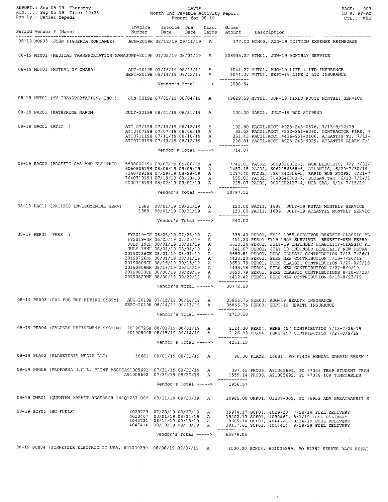|                        |                                                                                                |                                |                                                                                                                        |   |                                                 | 08-19 MONO3 (JOHN FIGUEROA MONTANEZ) AUG-2019H 08/12/19 09/11/19 A 177.00 MONO3, AUG-19 TUITION EXPENSE REIMBURSE                                                                                                                                                                                                                               |
|------------------------|------------------------------------------------------------------------------------------------|--------------------------------|------------------------------------------------------------------------------------------------------------------------|---|-------------------------------------------------|-------------------------------------------------------------------------------------------------------------------------------------------------------------------------------------------------------------------------------------------------------------------------------------------------------------------------------------------------|
|                        |                                                                                                |                                |                                                                                                                        |   |                                                 | 08-19 MTM01 (MEDICAL TRANSPORTATION MANAJUNE-2019H 07/05/19 08/04/19 A 108935.27 MTM01, JUN-19 MONTHLY SERVICE                                                                                                                                                                                                                                  |
|                        |                                                                                                |                                |                                                                                                                        |   | _____________                                   | AUG-2019 HOTOL (MUTUAL OF OMAHA) AUG-2019 AUG-2019 HOTOL AND SEPT-2019 HOTOL AUG-19 LIFE & LTD INSURANCE<br>SEPT-2019 HOROLOG/14/19 09/13/19 A 1044.27 MUTOL, SEPT-19 LIFE & LTD INSURANCE                                                                                                                                                      |
|                        |                                                                                                |                                |                                                                                                                        |   | Vendor's Total -----> 2088.54                   |                                                                                                                                                                                                                                                                                                                                                 |
|                        |                                                                                                |                                |                                                                                                                        |   |                                                 | 08-19 MVT01 (MV TRANSPORTATION, INC.) JUN-2019H 07/05/19 08/04/19 A 49629.59 MVT01, JUN-19 FIXED ROUTE MONTHLY SERVICE                                                                                                                                                                                                                          |
|                        | 08-19 NAR01 (KATHERINE NARUM) JULY-2019H 08/01/19 08/31/19 A 100.00 NAR01, JULY-19 BOD STIPEND |                                |                                                                                                                        |   |                                                 |                                                                                                                                                                                                                                                                                                                                                 |
|                        |                                                                                                |                                |                                                                                                                        |   |                                                 | 417 (17/19 07/19 08/12/19 A 102.80 PAC01, ACCT #925-245-0576, 7/13-8/12/19 A 102.80 PAC01 (AT&T )<br>7 ATT070719H 07/07/19 08/06/19 A 33.03 PAC01, ACCT #232-351-6260, CONTRACTOR FIRE, 7<br>7/11-19 08/10/19 A 351.43 PAC01, ACCT #                                                                                                            |
|                        |                                                                                                |                                |                                                                                                                        |   | Vendor's Total -----> 714.07                    |                                                                                                                                                                                                                                                                                                                                                 |
|                        |                                                                                                |                                |                                                                                                                        |   | Vendor's Total -----> 10797.51                  | 9800907198 08/07/19 09/06/19 A 7742.83 PACO2, 5809326332-3, MOA ELECTRIC, 7/2-7/31<br>6060806198 08/06/19 09/05/19 A 1457.18 PACO2, 6062256368-6, ATLANTIS, 6/29-7/30/19<br>7260729198 07/29/19 08/28/19 A 1217.40 PACO2, 7264840356                                                                                                            |
|                        |                                                                                                |                                |                                                                                                                        |   |                                                 |                                                                                                                                                                                                                                                                                                                                                 |
|                        |                                                                                                |                                |                                                                                                                        |   | ------------                                    | 08-19 PAC11 (PACIFIC ENVIROMENTAL SERV) 1688 08/01/19 08/31/19 A 120.00 PAC11, 1688, JULY-19 RUTAN MONTHLY SERVICE<br>1689 08/01/19 08/31/19 A 120.00 PAC11, 1689, JULY-19 ATLANTIS MONTHLY SERVIC                                                                                                                                              |
|                        |                                                                                                |                                | Vendor's Total ----->                                                                                                  |   | 240.00                                          |                                                                                                                                                                                                                                                                                                                                                 |
|                        |                                                                                                |                                |                                                                                                                        |   |                                                 | $\begin{array}{cccc} 08-19 \text{ PERO1 (PERS)} & \text{FY2019-CH 06/25/19} & 07/25/19 & \text{A} & 338.40 \text{ PERO1}, \text{FT19 1959 SURVIVOR BENERFIT-CLASSIC PL \\ \text{FY2019-NB 06/25/19 07/25/19} & 451.20 \text{ PERO1 FY19 1959 SURVIVOR BENERFT-T-NEW PBERA \\ \text{JULY-19CH 08/01/19 08/31/19} & 451.20 \text{ PERO1 FY19 195$ |
|                        |                                                                                                |                                |                                                                                                                        |   | _____________<br>Vendor's Total -----> 30772.20 |                                                                                                                                                                                                                                                                                                                                                 |
|                        | 08-19 PER03 (CAL PUB EMP RETIRE SYSTM) AUG-2019H 07/15/19 08/14/19 A                           | SEPT-2019H 08/14/19 09/13/19 A | Vendor's Total ----->                                                                                                  |   | 71713.50                                        | 35856.75 PER03, AUG-19 HEALTH INSURANCE<br>35856.75 PERO3, SEPT-19 HEALTH INSURANCE                                                                                                                                                                                                                                                             |
|                        | 08-19 PER04 (CALPERS RETIREMENT SYSTEM) 20190726H 08/01/19 08/31/19 A                          | 20190809H 08/15/19 09/14/19 A  | Vendor's Total ----->                                                                                                  |   | ------------<br>4251.13                         | 2124.30 PER04, PERS 457 CONTRIBUTION 7/13-7/26/19<br>2126.83 PER04, PERS 457 CONTRIBUTION 7/27-8/9/19                                                                                                                                                                                                                                           |
|                        |                                                                                                |                                |                                                                                                                        |   |                                                 |                                                                                                                                                                                                                                                                                                                                                 |
|                        |                                                                                                |                                |                                                                                                                        |   |                                                 | 08-19 PLA02 (PLANETERIA MEDIA LLC) 16681 08/01/19 08/31/19 A 98.00 PLA02, 16681, PO #7429 ANNUAL DOMAIN RENEW 1                                                                                                                                                                                                                                 |
|                        | 08-19 PRO06 (PROFORMA J.C.L. PRINT ASSOCA91005691 07/31/19 08/30/19 A                          | A91005692 07/31/19 08/30/19 A  |                                                                                                                        |   | ------------                                    | 397.43 PRO06, A91005691, PO #7356 TEMP STUDENT TRAN<br>1559.14 PRO06, A91005692, PO #7378 10K TIMETABLES                                                                                                                                                                                                                                        |
|                        |                                                                                                |                                | Vendor's Total ----->                                                                                                  |   | 1956.57                                         |                                                                                                                                                                                                                                                                                                                                                 |
|                        | 08-19 QMR01 (QUANTUM MARKET RESEARCH INCQ1237-002 08/21/19 09/20/19 A                          |                                |                                                                                                                        |   |                                                 | 10985.00 QMR01, Q1237-002, PO #6953 ADA PARATRANSIT S                                                                                                                                                                                                                                                                                           |
| 08-19 SCF01 (SC FUELS) |                                                                                                |                                | 4029723 07/28/19 08/27/19<br>4030467 08/01/19 08/31/19 A<br>4044721 08/14/19 09/13/19 A<br>4047414 08/19/19 09/18/19 A | A | ------------                                    | 19974.17 SCF01, 4029723, 7/28/19 FUEL DELIVERY<br>19202.13 SCF01, 4030467, 8/1/19 FUEL DELIVERY<br>8665.14 SCF01, 4044721, 8/14/19 FUEL DELIVERY<br>18137.61 SCF01, 4047414, 8/19/19 FUEL DELIVERY                                                                                                                                              |
|                        |                                                                                                |                                |                                                                                                                        |   | Vendor's Total -----> $65979.05$                |                                                                                                                                                                                                                                                                                                                                                 |
|                        | 08-19 SCH04 (SCHNEIDER ELECTRIC IT USA, 601009299 08/08/19 09/07/19 A                          |                                |                                                                                                                        |   |                                                 | 1000.00 SCH04, 601009299, PO #7387 SERVER RACK REPAI                                                                                                                                                                                                                                                                                            |

 $\sim$ 

 $\sim 10^{-1}$ 

 $\sim 0.5$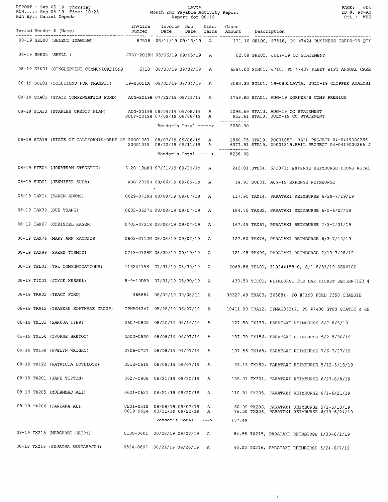|  |                                                                       |                                                                 |                              |                       |        |                                              | PAGE:<br>004<br>ID #: PY-AC<br>CTL.: WHE                                                                                                                           |
|--|-----------------------------------------------------------------------|-----------------------------------------------------------------|------------------------------|-----------------------|--------|----------------------------------------------|--------------------------------------------------------------------------------------------------------------------------------------------------------------------|
|  | Period Vendor # (Name)                                                | Invoice<br>Number                                               | Invoice Due<br>Date          |                       | Disc.  | Gross<br>Date Terms Amount Description       |                                                                                                                                                                    |
|  | 08-19 SELOO (SELECT IMAGING)                                          |                                                                 |                              |                       |        |                                              | 87518 08/14/19 09/13/19 A 131.10 SEL00, 87518, PO #7424 BUSINESS CARDS-1K QTY                                                                                      |
|  | 08-19 SHE05 (SHELL)                                                   |                                                                 |                              |                       |        |                                              | JULY-2019H 08/06/19 09/05/19 A 82.68 SHE05, JULY-19 CC STATEMENT                                                                                                   |
|  | 08-19 SINO1 (SINGLEPOINT COMMUNICATIONS 6710 08/03/19 09/02/19 A      |                                                                 |                              |                       |        |                                              | 6384.00 SIN01, 6710, PO #7407 FLEET WIFI ANNUAL CARE                                                                                                               |
|  | 08-19 SOL01 (SOLUTIONS FOR TRANSIT)                                   | 19-0805LA 08/05/19 09/04/19                                     |                              |                       | A      |                                              | 2083.33 SOL01, 19-0805LAVTA, JULY-19 CLIPPER ANALYSI                                                                                                               |
|  | 08-19 STA01 (STATE COMPENSATION FUND) AUG-2019H 07/22/19 08/21/19 A   |                                                                 |                              |                       |        |                                              | 1759.83 STA01, AUG-19 WORKER'S COMP PREMIUM                                                                                                                        |
|  | 08-19 STA13 (STAPLES CREDIT PLAN)                                     | AUG-2019H 08/09/19 09/08/19 A<br>JULY-2019H 07/09/19 08/08/19 A |                              |                       |        |                                              | 1096.69 STA13, AUG-19 CC STATEMENT<br>953.61 STA13, JULY-19 CC STATEMENT                                                                                           |
|  |                                                                       |                                                                 |                              | Vendor's Total -----> |        | 2050.30                                      |                                                                                                                                                                    |
|  | 08-19 STA19 (STATE OF CALIFORNIA-DEPT OF 20001087 08/07/19 09/06/19 A |                                                                 | 20001319 08/12/19 09/11/19 A |                       |        |                                              | 1860.75 STA19, 20001087, RAIL PROJECT 04-0419000266<br>6377.91 STA19, 20001219 BAIL PROJECT 04-0419000266<br>6377.91 STA19, 20001319, RAIL PROJECT 04-0419000266 J |
|  |                                                                       |                                                                 |                              |                       |        | -----------<br>Vendor's Total -----> 8238.66 |                                                                                                                                                                    |
|  |                                                                       |                                                                 |                              |                       |        |                                              | 08-19 STE04 (JONATHAN STEKETEE) 6-28-19EXH 07/31/19 08/30/19 A 242.01 STE04, 6/28/19 EXPENSE REIMBURSE-PHONE REPAI                                                 |
|  | 08-19 SUD01 (JENNIFER SUDA)<br>AUG-2019H 08/06/19 09/05/19 A          |                                                                 |                              |                       |        |                                              | 14.93 SUD01, AUG-19 EXPENSE REIMBURSE                                                                                                                              |
|  | 08-19 TAX14 (KAREN ADAMS)                                             | 0629-0719H 08/08/19 09/07/19 A                                  |                              |                       |        |                                              | 117.90 TAX14, PARATAXI REIMBURSE 6/29-7/19/19                                                                                                                      |
|  | 08-19 TAX32 (SUE TSANG)                                               | 0605-0627H 08/08/19 09/07/19 A                                  |                              |                       |        |                                              | 184.70 TAX32, PARATAXI REIMBURSE 6/5-6/27/19                                                                                                                       |
|  | 08-19 TAX67 (CHRISTEL RAGER)                                          | 0703-0731H 08/08/19 09/07/19 A                                  |                              |                       |        |                                              | 167.45 TAX67, PARATAXI REIMBURSE 7/3-7/31/19                                                                                                                       |
|  | 08-19 TAX76 (MARY ANN HANDZUS)                                        | 0603-0712H 08/08/19 09/07/19 A                                  |                              |                       |        |                                              | 127.50 TAX76, PARATAXI REIMBURSE 6/3-7/12/19                                                                                                                       |
|  | 08-19 TAX99 (SAEED TIRMIZI)                                           | 0713-0728H 08/20/19 09/19/19 A                                  |                              |                       |        |                                              | 121.98 TAX99, PARATAXI REIMBURSE 7/13-7/28/19                                                                                                                      |
|  | 08-19 TEL01 (TPx COMMUNICATIONS)                                      | 119244158 07/31/19 08/30/19 A                                   |                              |                       |        |                                              | 2069.86 TEL01, 119244158-0, 8/1-8/31/19 SERVICE                                                                                                                    |
|  | 08-19 TIC01 (JOYCE KESSEL)<br>8-9-19DAR 07/31/19 08/30/19 A           |                                                                 |                              |                       |        |                                              | 430.50 TIC01, REIMBURSE FOR DAR TICKET RETURN (123 0                                                                                                               |
|  | 08-19 TRA03 (TRACY FORD)                                              |                                                                 | 365884 08/09/19 09/08/19 A   |                       |        |                                              | 38327.49 TRA03, 365884, PO #7198 FORD F350 CHASSIE                                                                                                                 |
|  | 08-19 TRA12 (TRAPEZE SOFTWARE GROUP)                                  | TPMAG6347 05/28/19 06/27/19                                     |                              |                       | А      |                                              | 10411.00 TRA12, TPMAG06347, PO #7408 GTFS STATIC & RE                                                                                                              |
|  | 08-19 TX133 (SAROJA IYER)                                             | 0607-0805 08/20/19 09/19/19                                     |                              |                       | A      |                                              | 127.50 TX133, PARATAXI REIMBURSE 6/7-8/5/19                                                                                                                        |
|  | 08-19 TX156 (YVONNE BRETOI)                                           | 0502-0530 08/08/19 09/07/19                                     |                              |                       | A      |                                              | 137.70 TX156, PARATAXI REIMBURSE 5/2-5/30/19                                                                                                                       |
|  | 08-19 TX168 (EVELYN WRIGHT)                                           | 0706-0727 08/08/19 09/07/19                                     |                              |                       | A      |                                              | 197.56 TX168, PARATAXI REIMBURSE 7/6-7/27/19                                                                                                                       |
|  | 08-19 TX192 (PATRICIA LOVELOCK)                                       | 0512-0518 08/08/19 09/07/19                                     |                              |                       | A      |                                              | 33.15 TX192, PARATAXI REIMBURSE 5/12-5/18/19                                                                                                                       |
|  | 08-19 TX201 (JANE TIPTON)                                             | 0627-0808 08/21/19 09/20/19                                     |                              |                       | A      |                                              | 155.01 TX201, PARATAXI REIMBURSE 6/27-8/8/19                                                                                                                       |
|  | 08-19 TX205 (MUHAMMAD ALI)                                            | 0601-0621 08/21/19 09/20/19                                     |                              |                       | A      |                                              | 110.31 TX205, PARATAXI REIMBURSE 6/1-6/21/19                                                                                                                       |
|  | 08-19 TX206 (FARZANA ALI)                                             | 0501-0510 08/08/19 09/07/19<br>0619-0624 08/21/19 09/20/19      |                              |                       | А<br>A |                                              | 60.99 TX206, PARATAXI REIMBURSE 5/1-5/10/19<br>76.50 TX206, PARATAXI REIMBURSE 6/19-6/24/19                                                                        |
|  |                                                                       |                                                                 | Vendor's Total ----->        |                       |        | 137.49                                       |                                                                                                                                                                    |
|  | 08-19 TX215 (MARGARET HAUPT)                                          | 0130-0601 08/08/19 09/07/19                                     |                              |                       | A      |                                              | 84.58 TX215, PARATAXI REIMBURSE 1/30-6/1/19                                                                                                                        |
|  | 08-19 TX216 (SUJATHA RENGARAJAN)                                      | 0524-0607 08/21/19 09/20/19 A                                   |                              |                       |        |                                              | 40.00 TX216, PARATAXI REIMBURSE 5/24-6/7/19                                                                                                                        |

 $\langle \Psi \rangle$ 

 $\mathcal{A}^{\mathcal{A}}$ 

 $\sim$